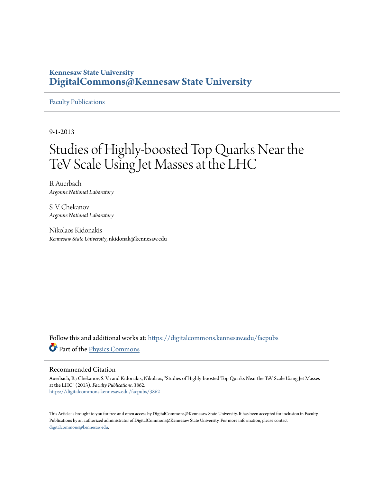## **Kennesaw State University [DigitalCommons@Kennesaw State University](https://digitalcommons.kennesaw.edu?utm_source=digitalcommons.kennesaw.edu%2Ffacpubs%2F3862&utm_medium=PDF&utm_campaign=PDFCoverPages)**

## [Faculty Publications](https://digitalcommons.kennesaw.edu/facpubs?utm_source=digitalcommons.kennesaw.edu%2Ffacpubs%2F3862&utm_medium=PDF&utm_campaign=PDFCoverPages)

9-1-2013

# Studies of Highly-boosted Top Quarks Near the TeV Scale Using Jet Masses at the LHC

B. Auerbach *Argonne National Laboratory*

S. V. Chekanov *Argonne National Laboratory*

Nikolaos Kidonakis *Kennesaw State University*, nkidonak@kennesaw.edu

Follow this and additional works at: [https://digitalcommons.kennesaw.edu/facpubs](https://digitalcommons.kennesaw.edu/facpubs?utm_source=digitalcommons.kennesaw.edu%2Ffacpubs%2F3862&utm_medium=PDF&utm_campaign=PDFCoverPages) Part of the [Physics Commons](http://network.bepress.com/hgg/discipline/193?utm_source=digitalcommons.kennesaw.edu%2Ffacpubs%2F3862&utm_medium=PDF&utm_campaign=PDFCoverPages)

## Recommended Citation

Auerbach, B.; Chekanov, S. V.; and Kidonakis, Nikolaos, "Studies of Highly-boosted Top Quarks Near the TeV Scale Using Jet Masses at the LHC" (2013). *Faculty Publications*. 3862. [https://digitalcommons.kennesaw.edu/facpubs/3862](https://digitalcommons.kennesaw.edu/facpubs/3862?utm_source=digitalcommons.kennesaw.edu%2Ffacpubs%2F3862&utm_medium=PDF&utm_campaign=PDFCoverPages)

This Article is brought to you for free and open access by DigitalCommons@Kennesaw State University. It has been accepted for inclusion in Faculty Publications by an authorized administrator of DigitalCommons@Kennesaw State University. For more information, please contact [digitalcommons@kennesaw.edu.](mailto:digitalcommons@kennesaw.edu)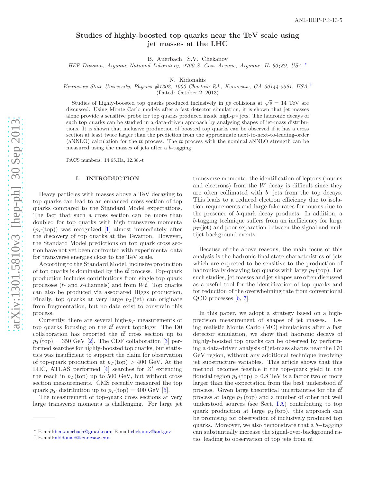## Studies of highly-boosted top quarks near the TeV scale usin g jet masses at the LHC

B. Auerbach, S.V. Chekanov

HEP Division, Argonne National Laboratory, 9700 S. Cass Avenue, Argonne, IL 60439, USA \*

N. Kidonakis

Kennesaw State University, Physics #1202, 1000 Chastain Rd., Kennesaw, GA 30144-5591, USA [†](#page-1-1)

(Dated: October 2, 2013)

Studies of highly-boosted top quarks produced inclusively in pp collisions at  $\sqrt{s} = 14$  TeV are discussed. Using Monte Carlo models after a fast detector simulation, it is shown that jet masses alone provide a sensitive probe for top quarks produced inside high- $p_T$  jets. The hadronic decays of such top quarks can be studied in a data-driven approach by analysing shapes of jet-mass distributions. It is shown that inclusive production of boosted top quarks can be observed if it has a cross section at least twice larger than the prediction from the approximate next-to-next-to-leading-order (aNNLO) calculation for the  $t\bar{t}$  process. The  $t\bar{t}$  process with the nominal aNNLO strength can be measured using the masses of jets after a b-tagging.

PACS numbers: 14.65.Ha, 12.38.-t

#### I. INTRODUCTION

Heavy particles with masses above a TeV decaying to top quarks can lead to an enhanced cross section of top quarks compared to the Standard Model expectations. The fact that such a cross section can be more than doubled for top quarks with high transverse momenta  $(p_T (top))$  was recognized [\[1](#page-6-0)] almost immediately after the discovery of top quarks at the Tevatron. However, the Standard Model predictions on top quark cross section have not yet been confronted with experimental data for transverse energies close to the TeV scale.

According to the Standard Model, inclusive production of top quarks is dominated by the  $t\bar{t}$  process. Top-quark production includes contributions from single top quark processes  $(t-$  and s-channels) and from  $Wt$ . Top quarks can also be produced via associated Higgs production. Finally, top quarks at very large  $p_T$  (jet) can originate from fragmentation, but no data exist to constrain this process.

Currently, there are several high- $p_T$  measurements of top quarks focusing on the  $t\bar{t}$  event topology. The D0 collaboration has reported the  $t\bar{t}$  cross section up to  $p_T(\text{top}) = 350 \text{ GeV}$  $p_T(\text{top}) = 350 \text{ GeV}$  $p_T(\text{top}) = 350 \text{ GeV}$  [[2\]](#page-6-1). The CDF collaboration [3] performed searches for highly-boosted top quarks, but statistics was insufficient to support the claim for observation of top-quark production at  $p_T(\text{top}) > 400 \text{ GeV}$ . At the LHC, ATLAS performed  $\overline{[4]}$  $\overline{[4]}$  $\overline{[4]}$  searches for Z' extending the reach in  $p_T(\text{top})$  up to 500 GeV, but without cross section measurements. CMS recently measured the top quark  $p_T$  distribution up to  $p_T$ (top) = 400 GeV [[5\]](#page-6-4).

The measurement of top-quark cross sections at very large transverse momenta is challenging. For large jet

transverse momenta, the identification of leptons (muons and electrons) from the W decay is difficult since they are often collimated with  $b$ -jets from the top decays. This leads to a reduced electron efficiency due to isolation requirements and large fake rates for muons due to the presence of b-quark decay products. In addition, a b-tagging technique suffers from an inefficiency for large  $p_T$  (jet) and poor separation between the signal and multijet background events.

Because of the above reasons, the main focus of this analysis is the hadronic-final state characteristics of jets which are expected to be sensitive to the production of hadronically decaying top quarks with large  $p_T(\text{top})$ . For such studies, jet masses and jet shapes are often discussed as a useful tool for the identification of top quarks and for reduction of the overwhelming rate from conventional  $QCD$  processes  $[6, 7]$  $[6, 7]$  $[6, 7]$  $[6, 7]$ .

In this paper, we adopt a strategy based on a highprecision measurement of shapes of jet masses. Using realistic Monte Carlo (MC) simulations after a fast detector simulation, we show that hadronic decays of highly-boosted top quarks can be observed by performing a data-driven analysis of jet-mass shapes near the 170 GeV region, without any additional technique involving jet substructure variables. This article shows that this method becomes feasible if the top-quark yield in the fiducial region  $p_T(\text{top}) > 0.8 \text{ TeV}$  is a factor two or more larger than the expectation from the best understood  $t\bar{t}$ process. Given large theoretical uncertainties for the  $t\bar{t}$ process at large  $p_T(\text{top})$  and a number of other not well understood sources (see Sect.  $IA$ ) contributing to top quark production at large  $p_T(\text{top})$ , this approach can be promising for observation of inclusively produced top quarks. Moreover, we also demonstrate that a  $b$ -tagging can substantially increase the signal-over-background ratio, leading to observation of top jets from  $t\bar{t}$ .

<span id="page-1-0"></span><sup>∗</sup> E-mail[:ben.auerbach@gmail.com;](mailto:ben.auerbach@gmail.com) E-mail[:chekanov@anl.gov](mailto:chekanov@anl.gov)

<span id="page-1-1"></span><sup>†</sup> E-mail[:nkidonak@kennesaw.edu](mailto:nkidonak@kennesaw.edu)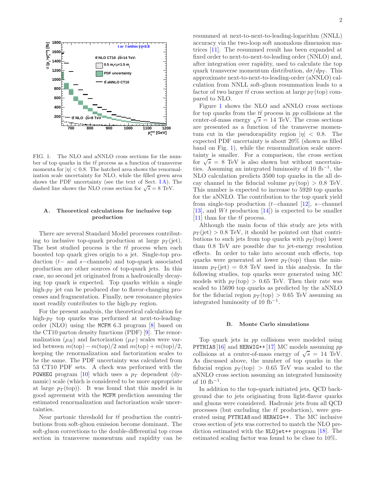

<span id="page-2-1"></span>FIG. 1. The NLO and aNNLO cross sections for the number of top quarks in the  $t\bar{t}$  process as a function of transverse momenta for  $|\eta| < 0.8$ . The hatched area shows the renormalization scale uncertainty for NLO, while the filled green area shows the PDF uncertainty (see the text of Sect.  $IA$ ). The dashed line shows the NLO cross section for  $\sqrt{s} = 8$  TeV.

### <span id="page-2-0"></span>A. Theoretical calculations for inclusive top production

There are several Standard Model processes contributing to inclusive top-quark production at large  $p_T$  (jet). The best studied process is the  $t\bar{t}$  process when each boosted top quark gives origin to a jet. Single-top production (t− and s−channels) and top-quark associated production are other sources of top-quark jets. In this case, no second jet originated from a hadronically decaying top quark is expected. Top quarks within a single high- $p_T$  jet can be produced due to flavor-changing processes and fragmentation. Finally, new resonance physics most readily contributes to the high- $p_T$  region.

For the present analysis, the theoretical calculation for high- $p_T$  top quarks was performed at next-to-leadingorder (NLO) using the MCFM 6.3 program [\[8](#page-7-1)] based on the CT10 parton density functions (PDF) [\[9\]](#page-7-2). The renormalization  $(\mu_R)$  and factorization  $(\mu_F)$  scales were varied between  $m(\text{top}) - m(\text{top})/2$  and  $m(\text{top}) + m(\text{top})/2$ , keeping the renormalization and factorization scales to be the same. The PDF uncertainty was calculated from 53 CT10 PDF sets. A check was performed with the POWHEG program [\[10\]](#page-7-3) which uses a  $p_T$  dependent (dynamic) scale (which is considered to be more appropriate at large  $p_T(\text{top})$ ). It was found that this model is in good agreement with the MCFM prediction assuming the estimated renormalization and factorization scale uncertainties.

Near partonic threshold for  $t\bar{t}$  production the contributions from soft-gluon emission become dominant. The soft-gluon corrections to the double-differential top cross section in transverse momentum and rapidity can be

resummed at next-to-next-to-leading-logarithm (NNLL) accuracy via the two-loop soft anomalous dimension matrices [\[11\]](#page-7-4). The resummed result has been expanded at fixed order to next-to-next-to-leading order (NNLO) and, after integration over rapidity, used to calculate the top quark transverse momentum distribution,  $d\sigma/dp_T$ . This approximate next-to-next-to-leading-order (aNNLO) calculation from NNLL soft-gluon resummation leads to a factor of two larger  $t\bar{t}$  cross section at large  $p_T$  (top) compared to NLO.

Figure [1](#page-2-1) shows the NLO and aNNLO cross sections for top quarks from the  $t\bar{t}$  process in pp collisions at the center-of-mass energy  $\sqrt{s} = 14$  TeV. The cross sections are presented as a function of the transverse momentum cut in the pseudorapidity region  $|\eta| < 0.8$ . The expected PDF uncertainty is about 20% (shown as filled band on Fig. [1\)](#page-2-1), while the renormalization scale uncertainty is smaller. For a comparison, the cross section for  $\sqrt{s}$  = 8 TeV is also shown but without uncertainties. Assuming an integrated luminosity of 10 fb−<sup>1</sup> , the NLO calculation predicts 3500 top quarks in the all decay channel in the fiducial volume  $p_T (top) > 0.8$  TeV. This number is expected to increase to 5920 top quarks for the aNNLO. The contribution to the top quark yield from single-top production (t–channel [\[12](#page-7-5)], s–channel [\[13\]](#page-7-6), and  $Wt$  production [\[14](#page-7-7)]) is expected to be smaller [\[11\]](#page-7-8) than for the  $t\bar{t}$  process.

Although the main focus of this study are jets with  $p_T(\text{jet}) > 0.8 \text{ TeV}$ , it should be pointed out that contributions to such jets from top quarks with  $p_T$  (top) lower than 0.8 TeV are possible due to jet-energy resolution effects. In order to take into account such effects, top quarks were generated at lower  $p_T$  (top) than the minimum  $p_T(\text{jet}) = 0.8 \text{ TeV}$  used in this analysis. In the following studies, top quarks were generated using MC models with  $p_T(\text{top}) > 0.65$  TeV. Then their rate was scaled to 15690 top quarks as predicted by the aNNLO for the fiducial region  $p_T(\text{top}) > 0.65 \text{ TeV}$  assuming an integrated luminosity of  $10 \text{ fb}^{-1}$ .

#### B. Monte Carlo simulations

Top quark jets in pp collisions were modeled using PYTHIA8 [\[16](#page-7-9)] and HERWIG++ [\[17\]](#page-7-10) MC models assuming  $pp$ collisions at a center-of-mass energy of  $\sqrt{s} = 14$  TeV. As discussed above, the number of top quarks in the fiducial region  $p_T(\text{top}) > 0.65 \text{ TeV}$  was scaled to the aNNLO cross section assuming an integrated luminosity of 10  $fb^{-1}$ .

In addition to the top-quark initiated jets, QCD background due to jets originating from light-flavor quarks and gluons were considered. Hadronic jets from all QCD processes (but excluding the  $t\bar{t}$  production), were generated using PYTHIA8 and HERWIG++ . The MC inclusive cross section of jets was corrected to match the NLO prediction estimated with the NLOjet++ program [\[18](#page-7-11)]. The estimated scaling factor was found to be close to 10%.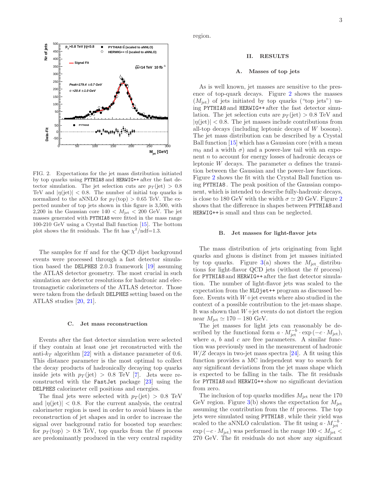

<span id="page-3-0"></span>FIG. 2. Expectations for the jet mass distribution initiated by top quarks using PYTHIA8 and HERWIG++ after the fast detector simulation. The jet selection cuts are  $p_T$  (jet) > 0.8 TeV and  $|\eta(\text{jet})| < 0.8$ . The number of initial top quarks is normalized to the aNNLO for  $p_T({\rm top}) > 0.65$  TeV. The expected number of top jets shown in this figure is 3,500, with 2,200 in the Gaussian core  $140 < M_{\text{jet}} < 200$  GeV. The jet masses generated with PYTHIA8 were fitted in the mass range 100-210 GeV using a Crystal Ball function [\[15](#page-7-12)]. The bottom plot shows the fit residuals. The fit has  $\chi^2/\text{ndf=1.3.}$ 

The samples for  $t\bar{t}$  and for the QCD dijet background events were processed through a fast detector simulation based the DELPHES 2.0.3 framework [\[19\]](#page-7-13) assuming the ATLAS detector geometry. The most crucial in such simulation are detector resolutions for hadronic and electromagnetic calorimeters of the ATLAS detector. Those were taken from the default DELPHES setting based on the ATLAS studies [\[20,](#page-7-14) [21\]](#page-7-15).

#### C. Jet mass reconstruction

Events after the fast detector simulation were selected if they contain at least one jet reconstructed with the anti- $k_T$  algorithm [\[22\]](#page-7-16) with a distance parameter of 0.6. This distance parameter is the most optimal to collect the decay products of hadronically decaying top quarks inside jets with  $p_T$  (jet) > 0.8 TeV [\[7\]](#page-7-0). Jets were reconstructed with the FastJet package [\[23\]](#page-7-17) using the DELPHES calorimeter cell positions and energies.

The final jets were selected with  $p_T$  (jet) > 0.8 TeV and  $|\eta(\text{jet})|$  < 0.8. For the current analysis, the central calorimeter region is used in order to avoid biases in the reconstruction of jet shapes and in order to increase the signal over background ratio for boosted top searches: for  $p_T(\text{top}) > 0.8$  TeV, top quarks from the  $t\bar{t}$  process are predominantly produced in the very central rapidity

region.

#### II. RESULTS

#### A. Masses of top jets

As is well known, jet masses are sensitive to the presence of top-quark decays. Figure [2](#page-3-0) shows the masses  $(M_{\text{jet}})$  of jets initiated by top quarks ("top jets") using PYTHIA8 and HERWIG++ after the fast detector simulation. The jet selection cuts are  $p_T$  (jet) > 0.8 TeV and  $|\eta(\text{jet})|$  < 0.8. The jet masses include contributions from all-top decays (including leptonic decays of W bosons). The jet mass distribution can be described by a Crystal Ball function [\[15\]](#page-7-12) which has a Gaussian core (with a mean  $m_0$  and a width  $\sigma$ ) and a power-law tail with an exponent n to account for energy losses of hadronic decays or leptonic W decays. The parameter  $\alpha$  defines the transition between the Gaussian and the power-law functions. Figure [2](#page-3-0) shows the fit with the Crystal Ball function using PYTHIA8 . The peak position of the Gaussian component, which is intended to describe fully-hadronic decays, is close to 180 GeV with the width  $\sigma \simeq 20$  $\sigma \simeq 20$  $\sigma \simeq 20$  GeV. Figure 2 shows that the difference in shapes between PYTHIA8 and HERWIG++ is small and thus can be neglected.

#### B. Jet masses for light-flavor jets

The mass distribution of jets originating from light quarks and gluons is distinct from jet masses initiated by top quarks. Figure  $3(a)$  $3(a)$  shows the  $M_{\text{jet}}$  distributions for light-flavor QCD jets (without the  $t\bar{t}$  process) for PYTHIA8 and HERWIG++ after the fast detector simulation. The number of light-flavor jets was scaled to the expectation from the NLO jet<sup>++</sup> program as discussed before. Events with  $W+$  jet events where also studied in the context of a possible contribution to the jet-mass shape. It was shown that  $W+$ jet events do not distort the region near  $M_{\rm jet} \simeq 170 - 180$  GeV.

The jet masses for light jets can reasonably be described by the functional form  $a \cdot M_{\rm jet}^{-b} \cdot \exp(-c \cdot M_{\rm jet}),$ where  $a, b$  and  $c$  are free parameters. A similar function was previously used in the measurement of hadronic  $W/Z$  decays in two-jet mass spectra [\[24\]](#page-7-18). A fit using this function provides a MC independent way to search for any significant deviations from the jet mass shape which is expected to be falling in the tails. The fit residuals for PYTHIA8 and HERWIG++ show no significant deviation from zero.

The inclusion of top quarks modifies  $M_{\rm jet}$  near the 170 GeV region. Figure  $3(b)$  $3(b)$  shows the expectation for  $M_{\rm jet}$ assuming the contribution from the  $t\bar{t}$  process. The top jets were simulated using PYTHIA8 , while their yield was scaled to the aNNLO calculation. The fit using  $a \cdot M_{\rm jet}^{-b}$ .  $\exp(-c \cdot M_{\text{jet}})$  was performed in the range 100 <  $M_{\text{jet}}$  < 270 GeV. The fit residuals do not show any significant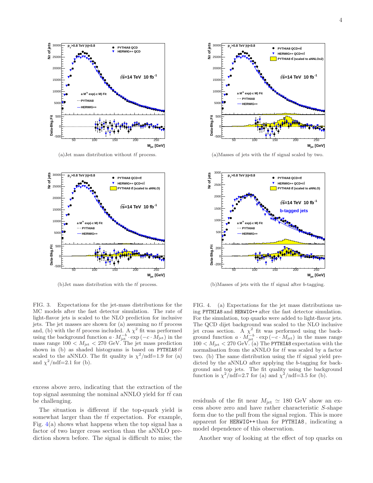

(a)Jet mass distribution without  $t\bar{t}$  process.



(b)Jet mass distribution with the  $t\bar{t}$  process.

<span id="page-4-0"></span>FIG. 3. Expectations for the jet-mass distributions for the MC models after the fast detector simulation. The rate of light-flavor jets is scaled to the NLO prediction for inclusive jets. The jet masses are shown for (a) assuming no  $t\bar{t}$  process and, (b) with the  $t\bar{t}$  process included. A  $\chi^2$  fit was performed using the background function  $a \cdot M_{\rm jet}^{-b} \cdot \exp(-c \cdot M_{\rm jet})$  in the mass range 100  $\lt M_{\rm jet} \lt 270$  GeV. The jet mass prediction shown in (b) as shaded histograms is based on PYTHIA8  $t\bar{t}$ scaled to the aNNLO. The fit quality is  $\chi^2/\text{ndf}=1.9$  for (a) and  $\chi^2/\text{ndf}=2.1$  for (b).

excess above zero, indicating that the extraction of the top signal assuming the nominal aNNLO yield for  $t\bar{t}$  can be challenging.

The situation is different if the top-quark yield is somewhat larger than the  $t\bar{t}$  expectation. For example, Fig.  $4(a)$  $4(a)$  shows what happens when the top signal has a factor of two larger cross section than the aNNLO prediction shown before. The signal is difficult to miss; the



(a)Masses of jets with the  $t\bar{t}$  signal scaled by two.



(b)Masses of jets with the  $t\bar{t}$  signal after b-tagging.

<span id="page-4-1"></span>FIG. 4. (a) Expectations for the jet mass distributions using PYTHIA8 and HERWIG++ after the fast detector simulation. For the simulation, top quarks were added to light-flavor jets. The QCD dijet background was scaled to the NLO inclusive jet cross section. A  $\chi^2$  fit was performed using the back-<br>ground function  $a \cdot M_{\rm jet}^{-1} \cdot \exp(-c \cdot M_{\rm jet})$  in the mass range<br> $100 < M_{\rm jet} < 270$  GeV. (a) The PYTHIA8 expectation with the normalisation from the aNNLO for  $t\bar{t}$  was scaled by a factor two. (b) The same distribution using the  $t\bar{t}$  signal yield predicted by the aNNLO after applying the b-tagging for background and top jets. The fit quality using the background function is  $\chi^2/\text{ndf}=2.7$  for (a) and  $\chi^2/\text{ndf}=3.5$  for (b).

residuals of the fit near  $M_{\rm jet} \simeq 180$  GeV show an excess above zero and have rather characteristic S-shape form due to the pull from the signal region. This is more apparent for HERWIG++ than for PYTHIA8 , indicating a model dependence of this observation.

Another way of looking at the effect of top quarks on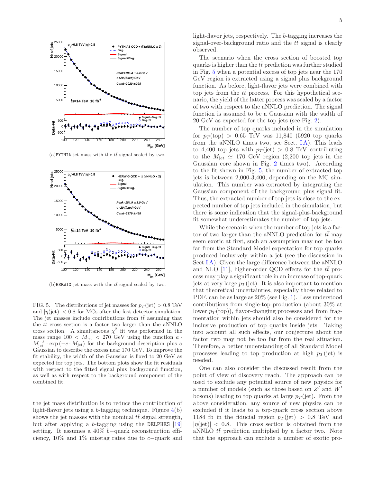

(a)PYTHIA jet mass with the  $t\bar{t}$  signal scaled by two.



(b)HERWIG jet mass with the  $t\bar{t}$  signal scaled by two.

<span id="page-5-0"></span>FIG. 5. The distributions of jet masses for  $p_T$  (jet) > 0.8 TeV and  $|\eta(\text{jet})|$  < 0.8 for MCs after the fast detector simulation. The jet masses include contributions from  $t\bar{t}$  assuming that the  $t\bar{t}$  cross section is a factor two larger than the aNNLO cross section. A simultaneous  $\chi^2$  fit was performed in the mass range  $100 < M_{jet} < 270$  GeV using the function  $a \cdot$  $M_{\rm jet}^{-b} \cdot \exp(-c \cdot M_{\rm jet})$  for the background description plus a Gaussian to describe the excess near 170 GeV. To improve the fit stability, the width of the Gaussian is fixed to 20 GeV as expected for top jets. The bottom plots show the fit residuals with respect to the fitted signal plus background function, as well as with respect to the background component of the combined fit.

the jet mass distribution is to reduce the contribution of light-flavor jets using a b-tagging technique. Figure [4\(](#page-4-1)b) shows the jet masses with the nominal  $t\bar{t}$  signal strength, but after applying a b-tagging using the DELPHES  $[19]$  $[19]$ setting. It assumes a 40% b−quark reconstruction efficiency, 10% and 1% misstag rates due to c−quark and light-flavor jets, respectively. The b-tagging increases the signal-over-background ratio and the  $t\bar{t}$  signal is clearly observed.

The scenario when the cross section of boosted top quarks is higher than the  $t\bar{t}$  prediction was further studied in Fig. [5](#page-5-0) when a potential excess of top jets near the 170 GeV region is extracted using a signal plus background function. As before, light-flavor jets were combined with top jets from the  $t\bar{t}$  process. For this hypothetical scenario, the yield of the latter process was scaled by a factor of two with respect to the aNNLO prediction. The signal function is assumed to be a Gaussian with the width of 20 GeV as expected for the top jets (see Fig. [2\)](#page-3-0).

The number of top quarks included in the simulation for  $p_T(\text{top}) > 0.65$  TeV was 11,840 (5920 top quarks from the aNNLO times two, see Sect.  $IA$ ). This leads to 4,400 top jets with  $p_T$  (jet) > 0.8 TeV contributing to the  $M_{\rm jet} \simeq 170$  GeV region (2,200 top jets in the Gaussian core shown in Fig. [2](#page-3-0) times two). According to the fit shown in Fig. [5,](#page-5-0) the number of extracted top jets is between 2,000-3,400, depending on the MC simulation. This number was extracted by integrating the Gaussian component of the background plus signal fit. Thus, the extracted number of top jets is close to the expected number of top jets included in the simulation, but there is some indication that the signal-plus-background fit somewhat underestimates the number of top jets.

While the scenario when the number of top jets is a factor of two larger than the aNNLO prediction for  $t\bar{t}$  may seem exotic at first, such an assumption may not be too far from the Standard Model expectation for top quarks produced inclusively within a jet (see the discussion in Sect.<sup> $I$ </sup>A). Given the large difference between the aNNLO and NLO [\[11](#page-7-4)], higher-order QCD effects for the  $t\bar{t}$  process may play a significant role in an increase of top-quark jets at very large  $p_T$  (jet). It is also important to mention that theoretical uncertainties, especially those related to PDF, can be as large as 20% (see Fig. [1\)](#page-2-1). Less understood contributions from single-top production (about 30% at lower  $p_T(\text{top})$ ), flavor-changing processes and from fragmentation within jets should also be considered for the inclusive production of top quarks inside jets. Taking into account all such effects, our conjecture about the factor two may not be too far from the real situation. Therefore, a better understanding of all Standard Model processes leading to top production at high  $p_T$  (jet) is needed.

One can also consider the discussed result from the point of view of discovery reach. The approach can be used to exclude any potential source of new physics for a number of models (such as those based on  $Z'$  and  $W'$ bosons) leading to top quarks at large  $p_T$  (jet). From the above consideration, any source of new physics can be excluded if it leads to a top-quark cross section above 1184 fb in the fiducial region  $p_T$  (jet) > 0.8 TeV and  $|\eta(\text{jet})| < 0.8$ . This cross section is obtained from the aNNLO  $t\bar{t}$  prediction multiplied by a factor two. Note that the approach can exclude a number of exotic pro-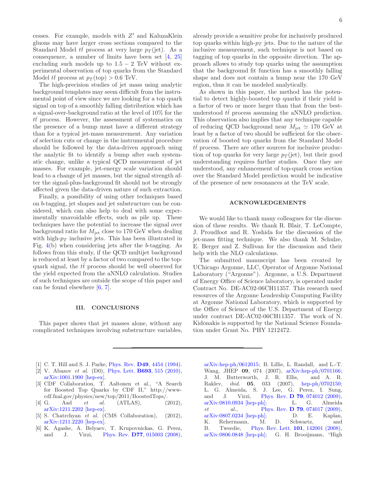cesses. For example, models with Z ′ and KaluzaKlein gluons may have larger cross sections compared to the Standard Model  $t\bar{t}$  process at very large  $p_T$  (jet). As a consequence, a number of limits have been set [\[4,](#page-6-3) [25](#page-7-19)] excluding such models up to  $1.5 - 2$  TeV without experimental observation of top quarks from the Standard Model  $t\bar{t}$  process at  $p_T(\text{top}) > 0.6 \text{ TeV}$ .

The high-precision studies of jet mass using analytic background templates may seem difficult from the instrumental point of view since we are looking for a top quark signal on top of a smoothly falling distribution which has a signal-over-background ratio at the level of 10% for the  $t\bar{t}$  process. However, the assessment of systematics on the presence of a bump must have a different strategy than for a typical jet-mass measurement. Any variation of selection cuts or change in the instrumental procedure should be followed by the data-driven approach using the analytic fit to identify a bump after each systematic change, unlike a typical QCD measurement of jet masses. For example, jet-energy scale variation should lead to a change of jet masses, but the signal strength after the signal-plus-background fit should not be strongly affected given the data-driven nature of such extraction.

Finally, a possibility of using other techniques based on b-tagging, jet shapes and jet substructure can be considered, which can also help to deal with some experimentally unavoidable effects, such as pile up. These techniques have the potential to increase the signal over background ratio for  $M_{\text{jet}}$  close to 170 GeV when dealing with high- $p_T$  inclusive jets. This has been illustrated in Fig. [4\(](#page-4-1)b) when considering jets after the b-tagging. As follows from this study, if the QCD multijet background is reduced at least by a factor of two compared to the topquark signal, the  $t\bar{t}$  process should be well observed for the yield expected from the aNNLO calculation. Studies of such techniques are outside the scope of this paper and can be found elsewhere [\[6,](#page-6-5) [7](#page-7-0)].

#### III. CONCLUSIONS

This paper shows that jet masses alone, without any complicated techniques involving substructure variables, already provide a sensitive probe for inclusively produced top quarks within high- $p_T$  jets. Due to the nature of the inclusive measurement, such technique is not based on tagging of top quarks in the opposite direction. The approach allows to study top quarks using the assumption that the background fit function has a smoothly falling shape and does not contain a hump near the 170 GeV region, thus it can be modeled analytically.

As shown in this paper, the method has the potential to detect highly-boosted top quarks if their yield is a factor of two or more larger than that from the bestunderstood  $t\bar{t}$  process assuming the aNNLO prediction. This observation also implies that any technique capable of reducing QCD background near  $M_{\text{jet}} \simeq 170 \text{ GeV}$  at least by a factor of two should be sufficient for the observation of boosted top quarks from the Standard Model  $t\bar{t}$  process. There are other sources for inclusive production of top quarks for very large  $p_T$  (jet), but their good understanding requires further studies. Once they are understood, any enhancement of top-quark cross section over the Standard Model prediction would be indicative of the presence of new resonances at the TeV scale.

#### ACKNOWLEDGEMENTS

We would like to thank many colleagues for the discussion of these results. We thank R. Blair, T. LeCompte, J. Proudfoot and R. Yoshida for the discussion of the jet-mass fitting technique. We also thank M. Schulze, E. Berger and Z. Sullivan for the discussion and their help with the NLO calculations.

The submitted manuscript has been created by UChicago Argonne, LLC, Operator of Argonne National Laboratory ("Argonne"). Argonne, a U.S. Department of Energy Office of Science laboratory, is operated under Contract No. DE-AC02-06CH11357. This research used resources of the Argonne Leadership Computing Facility at Argonne National Laboratory, which is supported by the Office of Science of the U.S. Department of Energy under contract DE-AC02-06CH11357. The work of N. Kidonakis is supported by the National Science Foundation under Grant No. PHY 1212472.

- <span id="page-6-0"></span>[1] C. T. Hill and S. J. Parke, *Phys. Rev.* **D49**[, 4454 \(1994\).](http://dx.doi.org/10.1103/PhysRevD.49.4454)
- <span id="page-6-1"></span>[2] V. Abazov *et al.* (D0), Phys. Lett. **B693**[, 515 \(2010\),](http://dx.doi.org/ 10.1016/j.physletb.2010.09.011) [arXiv:1001.1900 \[hep-ex\].](http://arxiv.org/abs/1001.1900)
- <span id="page-6-2"></span>[3] CDF Collaboration, T. Aaltonen et al., "A Search for Boosted Top Quarks by CDF II," http://wwwcdf.fnal.gov/physics/new/top/2011/BoostedTops/.
- <span id="page-6-3"></span>[4] G. Aad et al. (ATLAS), (2012), [arXiv:1211.2202 \[hep-ex\].](http://arxiv.org/abs/1211.2202)
- <span id="page-6-4"></span>[5] S. Chatrchyan et al. (CMS Collaboration), (2012), [arXiv:1211.2220 \[hep-ex\].](http://arxiv.org/abs/1211.2220)
- <span id="page-6-5"></span>[6] K. Agashe, A. Belyaev, T. Krupovnickas, G. Perez, and J. Virzi, Phys. Rev. **D77**[, 015003 \(2008\),](http://dx.doi.org/ 10.1103/PhysRevD.77.015003)

[arXiv:hep-ph/0612015;](http://arxiv.org/abs/hep-ph/0612015) B. Lillie, L. Randall, and L.-T. Wang, JHEP 09, 074 (2007), [arXiv:hep-ph/0701166;](http://arxiv.org/abs/hep-ph/0701166) J. M. Butterworth, J. R. Ellis, and A. R. Raklev, ibid. 05, 033 (2007), [hep-ph/0702150;](http://arxiv.org/abs/hep-ph/0702150) L. G. Almeida, S. J. Lee, G. Perez, I. Sung, and J. Virzi, Phys. Rev. **D 79**[, 074012 \(2009\),](http://dx.doi.org/ 10.1103/PhysRevD.79.074012) [arXiv:0810.0934 \[hep-ph\];](http://arxiv.org/abs/0810.0934) L. G. Almeida et al., Phys. Rev. **D 79**[, 074017 \(2009\),](http://dx.doi.org/10.1103/PhysRevD.79.074017) [arXiv:0807.0234 \[hep-ph\];](http://arxiv.org/abs/0807.0234) D. E. Kaplan, K. Rehermann, M. D. Schwartz, and B. Tweedie, [Phys. Rev. Lett.](http://dx.doi.org/10.1103/PhysRevLett.101.142001) 101, 142001 (2008), [arXiv:0806.0848 \[hep-ph\];](http://arxiv.org/abs/0806.0848) G. H. Brooijmans, "High